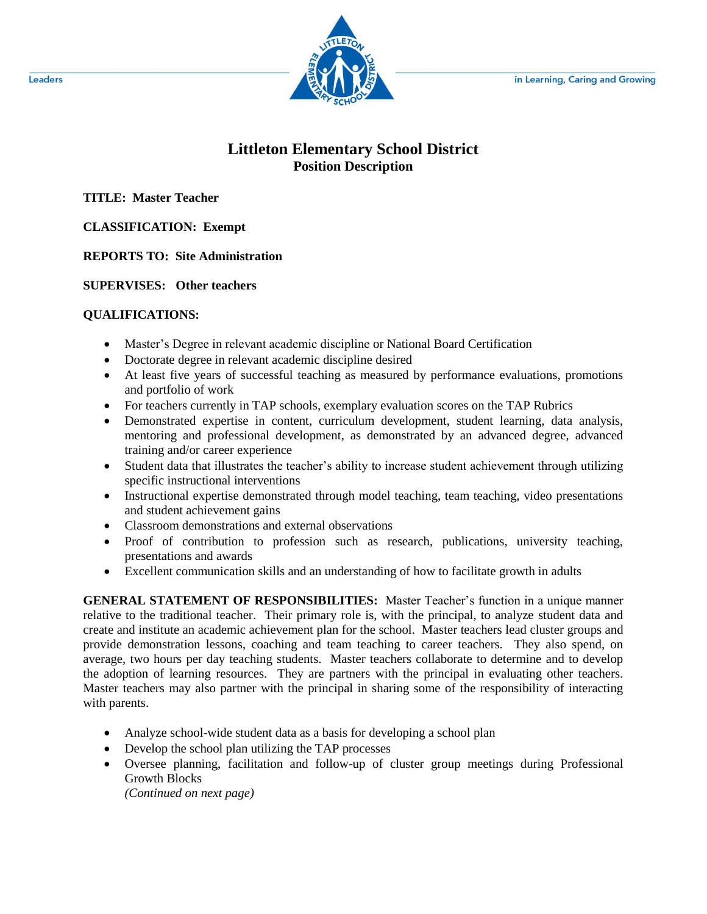

## **Littleton Elementary School District Position Description**

**TITLE: Master Teacher**

## **CLASSIFICATION: Exempt**

**REPORTS TO: Site Administration**

**SUPERVISES: Other teachers**

## **QUALIFICATIONS:**

- Master's Degree in relevant academic discipline or National Board Certification
- Doctorate degree in relevant academic discipline desired
- At least five years of successful teaching as measured by performance evaluations, promotions and portfolio of work
- For teachers currently in TAP schools, exemplary evaluation scores on the TAP Rubrics
- Demonstrated expertise in content, curriculum development, student learning, data analysis, mentoring and professional development, as demonstrated by an advanced degree, advanced training and/or career experience
- Student data that illustrates the teacher's ability to increase student achievement through utilizing specific instructional interventions
- Instructional expertise demonstrated through model teaching, team teaching, video presentations and student achievement gains
- Classroom demonstrations and external observations
- Proof of contribution to profession such as research, publications, university teaching, presentations and awards
- Excellent communication skills and an understanding of how to facilitate growth in adults

**GENERAL STATEMENT OF RESPONSIBILITIES:** Master Teacher's function in a unique manner relative to the traditional teacher. Their primary role is, with the principal, to analyze student data and create and institute an academic achievement plan for the school. Master teachers lead cluster groups and provide demonstration lessons, coaching and team teaching to career teachers. They also spend, on average, two hours per day teaching students. Master teachers collaborate to determine and to develop the adoption of learning resources. They are partners with the principal in evaluating other teachers. Master teachers may also partner with the principal in sharing some of the responsibility of interacting with parents.

- Analyze school-wide student data as a basis for developing a school plan
- Develop the school plan utilizing the TAP processes
- Oversee planning, facilitation and follow-up of cluster group meetings during Professional Growth Blocks

*(Continued on next page)*

Leaders